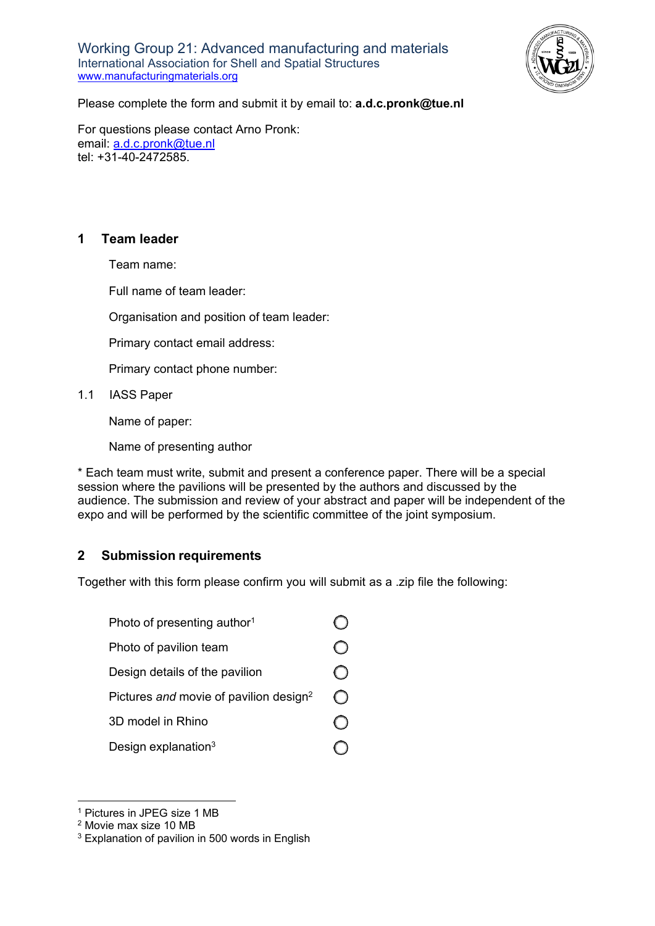Working Group 21: Advanced manufacturing and materials International Association for Shell and Spatial Structures [www.manufacturingmaterials.org](http://www.manufacturingmaterials.org/)



Please complete the form and submit it by email to: **[a.d.c.pronk@tue.nl](mailto:a.d.c.pronk@tue.nl)**

For questions please contact Arno Pronk: email: [a.d.c.pronk@tue.nl](mailto:a.d.c.pronk@tue.nl) tel: +31-40-2472585.

#### **1 Team leader**

Team name:

Full name of team leader:

Organisation and position of team leader:

Primary contact email address:

Primary contact phone number:

1.1 IASS Paper

Name of paper:

Name of presenting author

\* Each team must write, submit and present a conference paper. There will be a special session where the pavilions will be presented by the authors and discussed by the audience. The submission and review of your abstract and paper will be independent of the expo and will be performed by the scientific committee of the joint symposium.

### **2 Submission requirements**

Together with this form please confirm you will submit as a .zip file the following:

| Photo of presenting author <sup>1</sup>            |  |
|----------------------------------------------------|--|
| Photo of pavilion team                             |  |
| Design details of the pavilion                     |  |
| Pictures and movie of pavilion design <sup>2</sup> |  |
| 3D model in Rhino                                  |  |
| Design explanation <sup>3</sup>                    |  |

<sup>1</sup> Pictures in JPEG size 1 MB

<sup>2</sup> Movie max size 10 MB

<sup>&</sup>lt;sup>3</sup> Explanation of pavilion in 500 words in English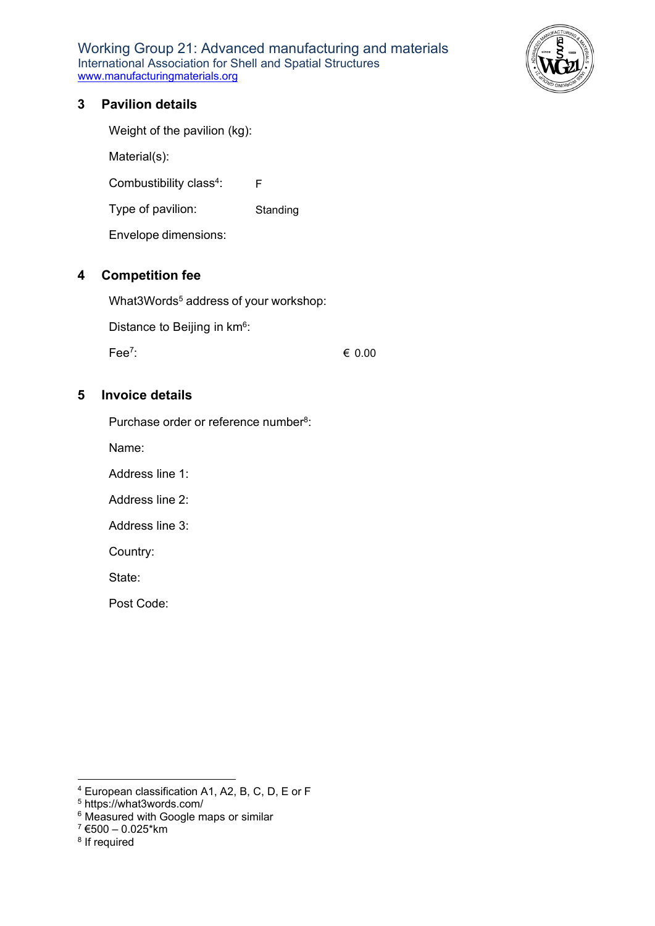Working Group 21: Advanced manufacturing and materials International Association for Shell and Spatial Structures [www.manufacturingmaterials.org](http://www.manufacturingmaterials.org/)



### **3 Pavilion details**

Weight of the pavilion (kg):

Material(s):

Combustibility class<sup>4</sup>: F

Type of pavilion: **Standing** 

Envelope dimensions:

### **4 Competition fee**

What3Words<sup>5</sup> address of your workshop:

Distance to Beijing in km<sup>6</sup>:

Fee7:

€ 0.00

### **5 Invoice details**

Purchase order or reference number<sup>8</sup>:

Name:

Address line 1:

Address line 2:

Address line 3:

Country:

State:

Post Code:

<sup>4</sup> European classification A1, A2, B, C, D, E or F

<sup>5</sup> https://what3words.com/

<sup>6</sup> Measured with Google maps or similar

 $7$  €500 – 0.025\*km

<sup>8</sup> If required